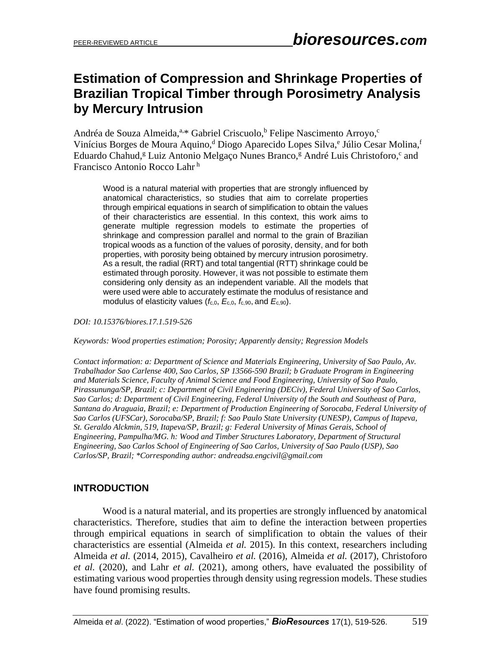# **Estimation of Compression and Shrinkage Properties of Brazilian Tropical Timber through Porosimetry Analysis by Mercury Intrusion**

Andréa de Souza Almeida,<sup>a,\*</sup> Gabriel Criscuolo,<sup>b</sup> Felipe Nascimento Arroyo,<sup>c</sup> Vinícius Borges de Moura Aquino,<sup>d</sup> Diogo Aparecido Lopes Silva,<sup>e</sup> Júlio Cesar Molina,<sup>f</sup> Eduardo Chahud,<sup>g</sup> Luiz Antonio Melgaço Nunes Branco,<sup>g</sup> André Luis Christoforo,<sup>c</sup> and Francisco Antonio Rocco Lahr <sup>h</sup>

Wood is a natural material with properties that are strongly influenced by anatomical characteristics, so studies that aim to correlate properties through empirical equations in search of simplification to obtain the values of their characteristics are essential. In this context, this work aims to generate multiple regression models to estimate the properties of shrinkage and compression parallel and normal to the grain of Brazilian tropical woods as a function of the values of porosity, density, and for both properties, with porosity being obtained by mercury intrusion porosimetry. As a result, the radial (RRT) and total tangential (RTT) shrinkage could be estimated through porosity. However, it was not possible to estimate them considering only density as an independent variable. All the models that were used were able to accurately estimate the modulus of resistance and modulus of elasticity values (*f*c,0, *E*c,0, *f*c,90, and *E*c,90).

*DOI: 10.15376/biores.17.1.519-526*

*Keywords: Wood properties estimation; Porosity; Apparently density; Regression Models*

*Contact information: a: Department of Science and Materials Engineering, University of Sao Paulo, Av. Trabalhador Sao Carlense 400, Sao Carlos, SP 13566-590 Brazil; b Graduate Program in Engineering and Materials Science, Faculty of Animal Science and Food Engineering, University of Sao Paulo, Pirassununga/SP, Brazil; c: Department of Civil Engineering (DECiv), Federal University of Sao Carlos, Sao Carlos; d: Department of Civil Engineering, Federal University of the South and Southeast of Para, Santana do Araguaia, Brazil; e: Department of Production Engineering of Sorocaba, Federal University of Sao Carlos (UFSCar), Sorocaba/SP, Brazil; f: Sao Paulo State University (UNESP), Campus of Itapeva, St. Geraldo Alckmin, 519, Itapeva/SP, Brazil; g: Federal University of Minas Gerais, School of Engineering, Pampulha/MG. h: Wood and Timber Structures Laboratory, Department of Structural Engineering, Sao Carlos School of Engineering of Sao Carlos, University of Sao Paulo (USP), Sao Carlos/SP, Brazil; \*Corresponding author: andreadsa.engcivil@gmail.com*

### **INTRODUCTION**

Wood is a natural material, and its properties are strongly influenced by anatomical characteristics. Therefore, studies that aim to define the interaction between properties through empirical equations in search of simplification to obtain the values of their characteristics are essential (Almeida *et al.* 2015). In this context, researchers including Almeida *et al.* (2014, 2015), Cavalheiro *et al.* (2016), Almeida *et al.* (2017), Christoforo *et al.* (2020), and Lahr *et al.* (2021), among others, have evaluated the possibility of estimating various wood properties through density using regression models. These studies have found promising results.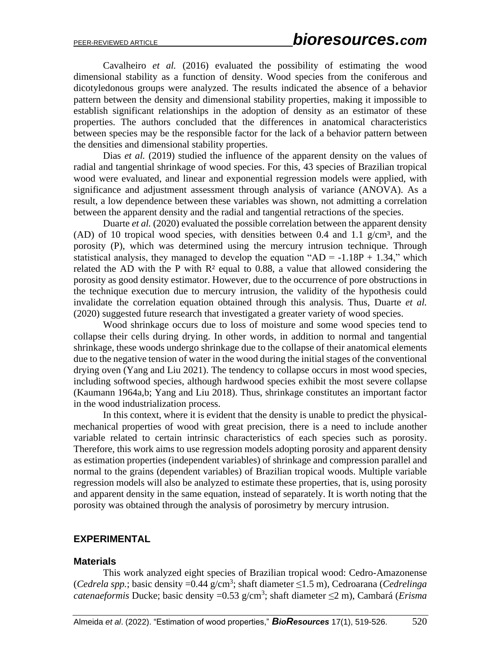Cavalheiro *et al.* (2016) evaluated the possibility of estimating the wood dimensional stability as a function of density. Wood species from the coniferous and dicotyledonous groups were analyzed. The results indicated the absence of a behavior pattern between the density and dimensional stability properties, making it impossible to establish significant relationships in the adoption of density as an estimator of these properties. The authors concluded that the differences in anatomical characteristics between species may be the responsible factor for the lack of a behavior pattern between the densities and dimensional stability properties.

Dias *et al.* (2019) studied the influence of the apparent density on the values of radial and tangential shrinkage of wood species. For this, 43 species of Brazilian tropical wood were evaluated, and linear and exponential regression models were applied, with significance and adjustment assessment through analysis of variance (ANOVA). As a result, a low dependence between these variables was shown, not admitting a correlation between the apparent density and the radial and tangential retractions of the species.

Duarte *et al.* (2020) evaluated the possible correlation between the apparent density (AD) of 10 tropical wood species, with densities between 0.4 and 1.1  $g/cm^3$ , and the porosity (P), which was determined using the mercury intrusion technique. Through statistical analysis, they managed to develop the equation " $AD = -1.18P + 1.34$ ," which related the AD with the P with  $R<sup>2</sup>$  equal to 0.88, a value that allowed considering the porosity as good density estimator. However, due to the occurrence of pore obstructions in the technique execution due to mercury intrusion, the validity of the hypothesis could invalidate the correlation equation obtained through this analysis. Thus, Duarte *et al.* (2020) suggested future research that investigated a greater variety of wood species.

Wood shrinkage occurs due to loss of moisture and some wood species tend to collapse their cells during drying. In other words, in addition to normal and tangential shrinkage, these woods undergo shrinkage due to the collapse of their anatomical elements due to the negative tension of water in the wood during the initial stages of the conventional drying oven (Yang and Liu 2021). The tendency to collapse occurs in most wood species, including softwood species, although hardwood species exhibit the most severe collapse (Kaumann 1964a,b; Yang and Liu 2018). Thus, shrinkage constitutes an important factor in the wood industrialization process.

In this context, where it is evident that the density is unable to predict the physicalmechanical properties of wood with great precision, there is a need to include another variable related to certain intrinsic characteristics of each species such as porosity. Therefore, this work aims to use regression models adopting porosity and apparent density as estimation properties (independent variables) of shrinkage and compression parallel and normal to the grains (dependent variables) of Brazilian tropical woods. Multiple variable regression models will also be analyzed to estimate these properties, that is, using porosity and apparent density in the same equation, instead of separately. It is worth noting that the porosity was obtained through the analysis of porosimetry by mercury intrusion.

#### **EXPERIMENTAL**

#### **Materials**

This work analyzed eight species of Brazilian tropical wood: Cedro-Amazonense (*Cedrela spp.*; basic density =0.44 g/cm<sup>3</sup> ; shaft diameter ≤1.5 m), Cedroarana (*Cedrelinga catenaeformis* Ducke; basic density =0.53 g/cm<sup>3</sup> ; shaft diameter ≤2 m), Cambará (*Erisma*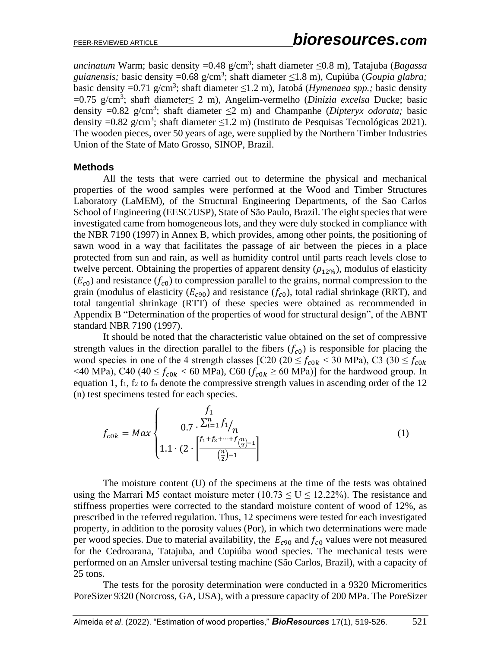*uncinatum* Warm; basic density =0.48 g/cm<sup>3</sup> ; shaft diameter ≤0.8 m), Tatajuba (*Bagassa guianensis;* basic density =0.68 g/cm<sup>3</sup> ; shaft diameter ≤1.8 m), Cupiúba (*Goupia glabra;* basic density =0.71 g/cm<sup>3</sup> ; shaft diameter ≤1.2 m), Jatobá (*Hymenaea spp.;* basic density =0.75 g/cm<sup>3</sup> ; shaft diameter≤ 2 m), Angelim-vermelho (*Dinizia excelsa* Ducke; basic density =0.82 g/cm<sup>3</sup> ; shaft diameter ≤2 m) and Champanhe (*Dipteryx odorata;* basic density =0.82 g/cm<sup>3</sup>; shaft diameter  $\leq$ 1.2 m) (Instituto de Pesquisas Tecnológicas 2021). The wooden pieces, over 50 years of age, were supplied by the Northern Timber Industries Union of the State of Mato Grosso, SINOP, Brazil.

#### **Methods**

All the tests that were carried out to determine the physical and mechanical properties of the wood samples were performed at the Wood and Timber Structures Laboratory (LaMEM), of the Structural Engineering Departments, of the Sao Carlos School of Engineering (EESC/USP), State of São Paulo, Brazil. The eight species that were investigated came from homogeneous lots, and they were duly stocked in compliance with the NBR 7190 (1997) in Annex B, which provides, among other points, the positioning of sawn wood in a way that facilitates the passage of air between the pieces in a place protected from sun and rain, as well as humidity control until parts reach levels close to twelve percent. Obtaining the properties of apparent density  $(\rho_{12\%})$ , modulus of elasticity  $(E_{c0})$  and resistance  $(f_{c0})$  to compression parallel to the grains, normal compression to the grain (modulus of elasticity  $(E_{c90})$  and resistance  $(f_{c0})$ , total radial shrinkage (RRT), and total tangential shrinkage (RTT) of these species were obtained as recommended in Appendix B "Determination of the properties of wood for structural design", of the ABNT standard NBR 7190 (1997).

It should be noted that the characteristic value obtained on the set of compressive strength values in the direction parallel to the fibers  $(f_{c0})$  is responsible for placing the wood species in one of the 4 strength classes [C20 (20  $\leq f_{c0k}$  < 30 MPa), C3 (30  $\leq f_{c0k}$ <40 MPa), C40 (40  $\leq f_{c0k}$  < 60 MPa), C60 ( $f_{c0k} \geq 60$  MPa)] for the hardwood group. In equation 1,  $f_1$ ,  $f_2$  to  $f_n$  denote the compressive strength values in ascending order of the 12 (n) test specimens tested for each species.

$$
f_{c0k} = Max \begin{cases} f_1 \\ 0.7 \cdot \frac{\sum_{i=1}^{n} f_1}{n} \\ 1.1 \cdot (2 \cdot \left[ \frac{f_1 + f_2 + \dots + f_{\left(\frac{n}{2}\right) - 1}}{\left(\frac{n}{2}\right) - 1} \right] \end{cases} \tag{1}
$$

The moisture content (U) of the specimens at the time of the tests was obtained using the Marrari M5 contact moisture meter (10.73  $\leq U \leq 12.22\%$ ). The resistance and stiffness properties were corrected to the standard moisture content of wood of 12%, as prescribed in the referred regulation. Thus, 12 specimens were tested for each investigated property, in addition to the porosity values (Por), in which two determinations were made per wood species. Due to material availability, the  $E_{c90}$  and  $f_{c0}$  values were not measured for the Cedroarana, Tatajuba, and Cupiúba wood species. The mechanical tests were performed on an Amsler universal testing machine (São Carlos, Brazil), with a capacity of 25 tons.

The tests for the porosity determination were conducted in a 9320 Micromeritics PoreSizer 9320 (Norcross, GA, USA), with a pressure capacity of 200 MPa. The PoreSizer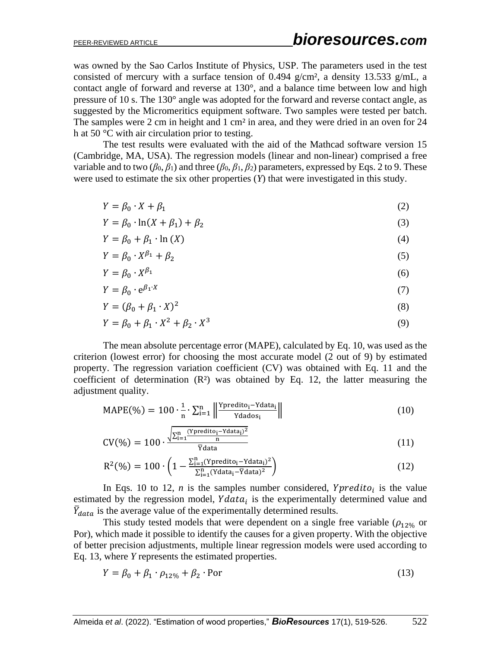was owned by the Sao Carlos Institute of Physics, USP. The parameters used in the test consisted of mercury with a surface tension of 0.494  $g/cm^2$ , a density 13.533  $g/mL$ , a contact angle of forward and reverse at 130°, and a balance time between low and high pressure of 10 s. The 130° angle was adopted for the forward and reverse contact angle, as suggested by the Micromeritics equipment software. Two samples were tested per batch. The samples were 2 cm in height and 1 cm<sup>2</sup> in area, and they were dried in an oven for 24 h at 50 °C with air circulation prior to testing.

The test results were evaluated with the aid of the Mathcad software version 15 (Cambridge, MA, USA). The regression models (linear and non-linear) comprised a free variable and to two ( $\beta_0$ ,  $\beta_1$ ) and three ( $\beta_0$ ,  $\beta_1$ ,  $\beta_2$ ) parameters, expressed by Eqs. 2 to 9. These were used to estimate the six other properties (*Y*) that were investigated in this study.

$$
Y = \beta_0 \cdot X + \beta_1 \tag{2}
$$

$$
Y = \beta_0 \cdot \ln(X + \beta_1) + \beta_2 \tag{3}
$$

$$
Y = \beta_0 + \beta_1 \cdot \ln(X) \tag{4}
$$

$$
Y = \beta_0 \cdot X^{\beta_1} + \beta_2 \tag{5}
$$

$$
Y = \beta_0 \cdot X^{\beta_1} \tag{6}
$$

$$
Y = \beta_0 \cdot e^{\beta_1 \cdot X} \tag{7}
$$

$$
Y = (\beta_0 + \beta_1 \cdot X)^2 \tag{8}
$$

$$
Y = \beta_0 + \beta_1 \cdot X^2 + \beta_2 \cdot X^3 \tag{9}
$$

The mean absolute percentage error (MAPE), calculated by Eq. 10, was used as the criterion (lowest error) for choosing the most accurate model (2 out of 9) by estimated property. The regression variation coefficient (CV) was obtained with Eq. 11 and the coefficient of determination  $(R<sup>2</sup>)$  was obtained by Eq. 12, the latter measuring the adjustment quality.

$$
MAPE(\%) = 100 \cdot \frac{1}{n} \cdot \sum_{i=1}^{n} \left\| \frac{Y_{\text{predicto}_i} - \text{Ydata}_i}{\text{Ydados}_i} \right\| \tag{10}
$$

$$
CV(\%) = 100 \cdot \frac{\sqrt{\sum_{i=1}^{n} \frac{(Ypredito_i - Ydata_i)^2}{n}}}{\overline{Y}data}
$$
 (11)

$$
R^{2}(\%) = 100 \cdot \left(1 - \frac{\sum_{i=1}^{n} (Y_{\text{predicto}_{i}} - Y_{\text{data}_{i}})^{2}}{\sum_{i=1}^{n} (Y_{\text{data}_{i}} - \overline{Y}_{\text{data}_{i}})^{2}}\right)
$$
(12)

In Eqs. 10 to 12, *n* is the samples number considered,  $Ypredito_i$  is the value estimated by the regression model,  $Ydata_i$  is the experimentally determined value and  $\bar{Y}_{data}$  is the average value of the experimentally determined results.

This study tested models that were dependent on a single free variable ( $\rho_{12\%}$  or Por), which made it possible to identify the causes for a given property. With the objective of better precision adjustments, multiple linear regression models were used according to Eq. 13, where *Y* represents the estimated properties.

$$
Y = \beta_0 + \beta_1 \cdot \rho_{12\%} + \beta_2 \cdot \text{Por}
$$
 (13)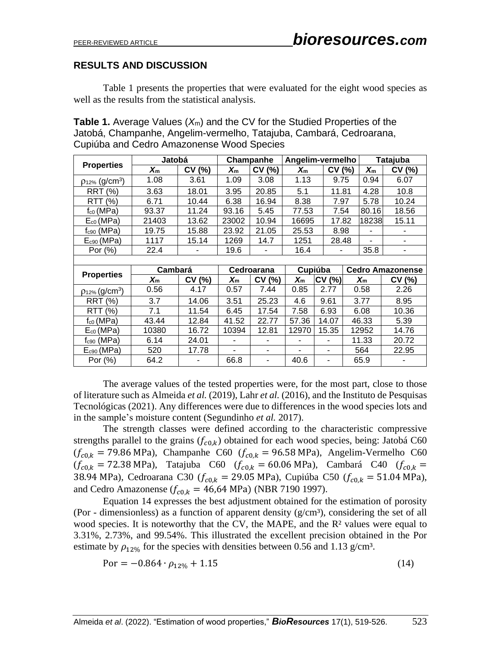### **RESULTS AND DISCUSSION**

Table 1 presents the properties that were evaluated for the eight wood species as well as the results from the statistical analysis.

| <b>Table 1.</b> Average Values $(X_m)$ and the CV for the Studied Properties of the |
|-------------------------------------------------------------------------------------|
| Jatobá, Champanhe, Angelim-vermelho, Tatajuba, Cambará, Cedroarana,                 |
| Cupiúba and Cedro Amazonense Wood Species                                           |

|                                 | Jatobá               |        | Champanhe               |                | Angelim-vermelho |           |  | <b>Tatajuba</b> |                         |
|---------------------------------|----------------------|--------|-------------------------|----------------|------------------|-----------|--|-----------------|-------------------------|
| <b>Properties</b>               | $\boldsymbol{X_{m}}$ | CV(%)  | $\mathsf{X}_\mathsf{m}$ | CV (%)         | $X_{m}$          | CV(%)     |  | $X_{m}$         | CV (%)                  |
| $p_{12\%}$ (g/cm <sup>3</sup> ) | 1.08                 | 3.61   | 1.09                    | 3.08           | 1.13             | 9.75      |  | 0.94            | 6.07                    |
| RRT<br>(% )                     | 3.63                 | 18.01  | 3.95                    | 20.85          | 5.1              | 11.81     |  | 4.28            | 10.8                    |
| <b>RTT</b><br>(% )              | 6.71                 | 10.44  | 6.38                    | 16.94          | 8.38             | 7.97      |  | 5.78            | 10.24                   |
| $f_{c0}$ (MPa)                  | 93.37                | 11.24  | 93.16                   | 5.45           | 77.53            | 7.54      |  | 80.16           | 18.56                   |
| $E_{c0}$ (MPa)                  | 21403                | 13.62  | 23002                   | 10.94          | 16695            | 17.82     |  | 18238           | 15.11                   |
| $f_{c90}$ (MPa)                 | 19.75                | 15.88  | 23.92                   | 21.05          | 25.53            | 8.98      |  |                 |                         |
| $E_{c90}$ (MPa)                 | 1117                 | 15.14  | 1269                    | 14.7           | 1251             | 28.48     |  |                 | ۰                       |
| Por (%)                         | 22.4                 |        | 19.6                    |                | 16.4             |           |  |                 |                         |
|                                 |                      |        |                         |                |                  |           |  |                 |                         |
|                                 |                      |        |                         |                |                  |           |  |                 |                         |
|                                 | Cambará              |        |                         | Cedroarana     |                  | Cupiúba   |  |                 | <b>Cedro Amazonense</b> |
| <b>Properties</b>               | $X_{m}$              | CV (%) | $X_{m}$                 | CV (%)         | $X_{m}$          | CV<br>(%) |  | $X_{m}$         | CV (%)                  |
| $p_{12\%}$ (g/cm <sup>3</sup> ) | 0.56                 | 4.17   | 0.57                    | 7.44           | 0.85             | 2.77      |  | 0.58            | 2.26                    |
| <b>RRT (%)</b>                  | 3.7                  | 14.06  | 3.51                    | 25.23          | 4.6              | 9.61      |  | 3.77            | 8.95                    |
| RTT (%)                         | 7.1                  | 11.54  | 6.45                    | 17.54          | 7.58             | 6.93      |  | 6.08            | 10.36                   |
| $f_{c0}$ (MPa)                  | 43.44                | 12.84  | 41.52                   | 22.77          | 57.36            | 14.07     |  | 46.33           | 5.39                    |
| $E_{c0}$ (MPa)                  | 10380                | 16.72  | 10394                   | 12.81          | 12970            | 15.35     |  | 12952           | 14.76                   |
| $f_{c90}$ (MPa)                 | 6.14                 | 24.01  | ٠                       | $\blacksquare$ | ۰                | ٠         |  | 11.33           | 20.72                   |
| $E_{c90}$ (MPa)                 | 520                  | 17.78  | ٠                       | ۰              | ۰                | ۰         |  | 564             | 22.95                   |

The average values of the tested properties were, for the most part, close to those of literature such as Almeida *et al.* (2019), Lahr *et al.* (2016), and the Instituto de Pesquisas Tecnológicas (2021). Any differences were due to differences in the wood species lots and in the sample's moisture content (Segundinho *et al.* 2017).

The strength classes were defined according to the characteristic compressive strengths parallel to the grains  $(f_{c0,k})$  obtained for each wood species, being: Jatobá C60  $(f_{c0,k} = 79.86 \text{ MPa})$ , Champanhe C60  $(f_{c0,k} = 96.58 \text{ MPa})$ , Angelim-Vermelho C60  $(f_{c0,k} = 72.38 \text{ MPa})$ , Tatajuba C60  $(f_{c0,k} = 60.06 \text{ MPa})$ , Cambará C40  $(f_{c0,k} = 10^{-10})$ 38.94 MPa), Cedroarana C30 ( $f_{c0,k}$  = 29.05 MPa), Cupiúba C50 ( $f_{c0,k}$  = 51.04 MPa), and Cedro Amazonense ( $f_{c0,k} = 46,64 \text{ MPa}$ ) (NBR 7190 1997).

Equation 14 expresses the best adjustment obtained for the estimation of porosity (Por - dimensionless) as a function of apparent density  $(g/cm<sup>3</sup>)$ , considering the set of all wood species. It is noteworthy that the CV, the MAPE, and the R<sup>2</sup> values were equal to 3.31%, 2.73%, and 99.54%. This illustrated the excellent precision obtained in the Por estimate by  $\rho_{12\%}$  for the species with densities between 0.56 and 1.13 g/cm<sup>3</sup>.

$$
Por = -0.864 \cdot \rho_{12\%} + 1.15 \tag{14}
$$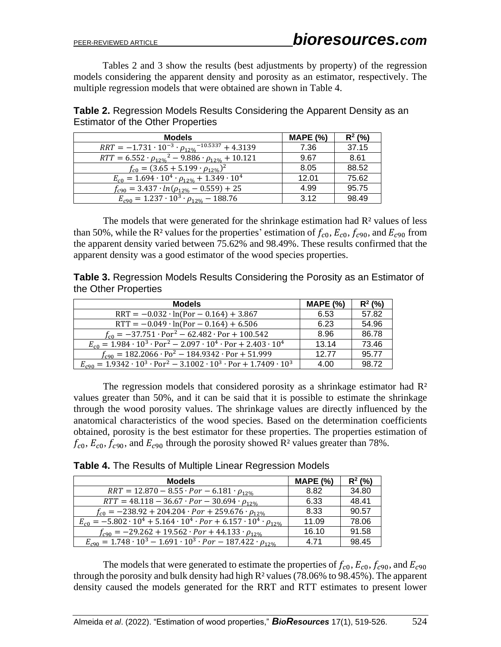Tables 2 and 3 show the results (best adjustments by property) of the regression models considering the apparent density and porosity as an estimator, respectively. The multiple regression models that were obtained are shown in Table 4.

**Table 2.** Regression Models Results Considering the Apparent Density as an Estimator of the Other Properties

| <b>Models</b>                                                        | <b>MAPE (%)</b> | $R^2$ (%) |
|----------------------------------------------------------------------|-----------------|-----------|
| $RRT = -1.731 \cdot 10^{-3} \cdot \rho_{12\%}{}^{-10.5337} + 4.3139$ | 7.36            | 37.15     |
| $RTT = 6.552 \cdot \rho_{12\%}^2 - 9.886 \cdot \rho_{12\%} + 10.121$ | 9.67            | 8.61      |
| $f_{c0} = (3.65 + 5.199 \cdot \rho_{12\%})^2$                        | 8.05            | 88.52     |
| $E_{c0} = 1.694 \cdot 10^4 \cdot \rho_{12\%} + 1.349 \cdot 10^4$     | 12.01           | 75.62     |
| $f_{c90} = 3.437 \cdot ln(\rho_{12\%} - 0.559) + 25$                 | 4.99            | 95.75     |
| $E_{c90} = 1.237 \cdot 10^3 \cdot \rho_{12\%} - 188.76$              | 3.12            | 98.49     |

The models that were generated for the shrinkage estimation had  $R<sup>2</sup>$  values of less than 50%, while the R<sup>2</sup> values for the properties' estimation of  $f_{c0}$ ,  $E_{c0}$ ,  $f_{c90}$ , and  $E_{c90}$  from the apparent density varied between 75.62% and 98.49%. These results confirmed that the apparent density was a good estimator of the wood species properties.

**Table 3.** Regression Models Results Considering the Porosity as an Estimator of the Other Properties

| <b>Models</b>                                                                                             | <b>MAPE (%)</b> | $R^2$ (%) |
|-----------------------------------------------------------------------------------------------------------|-----------------|-----------|
| $RRT = -0.032 \cdot ln(Por - 0.164) + 3.867$                                                              | 6.53            | 57.82     |
| $RTT = -0.049 \cdot ln(Por - 0.164) + 6.506$                                                              | 6.23            | 54.96     |
| $f_{c0} = -37.751 \cdot \text{Por}^2 - 62.482 \cdot \text{Por} + 100.542$                                 | 8.96            | 86.78     |
| $E_{c0} = 1.984 \cdot 10^3 \cdot \text{Por}^2 - 2.097 \cdot 10^4 \cdot \text{Por} + 2.403 \cdot 10^4$     | 13.14           | 73.46     |
| $f_{c90} = 182.2066 \cdot Po^2 - 184.9342 \cdot Por + 51.999$                                             | 1277            | 95.77     |
| $E_{c90} = 1.9342 \cdot 10^3 \cdot \text{Por}^2 - 3.1002 \cdot 10^3 \cdot \text{Por} + 1.7409 \cdot 10^3$ | 4.00            | 98.72     |

The regression models that considered porosity as a shrinkage estimator had  $\mathbb{R}^2$ values greater than 50%, and it can be said that it is possible to estimate the shrinkage through the wood porosity values. The shrinkage values are directly influenced by the anatomical characteristics of the wood species. Based on the determination coefficients obtained, porosity is the best estimator for these properties. The properties estimation of  $f_{c0}$ ,  $E_{c0}$ ,  $f_{c90}$ , and  $E_{c90}$  through the porosity showed R<sup>2</sup> values greater than 78%.

**Table 4.** The Results of Multiple Linear Regression Models

| <b>Models</b>                                                                                  | <b>MAPE (%)</b> | $R^2$ (%) |
|------------------------------------------------------------------------------------------------|-----------------|-----------|
| $RRT = 12.870 - 8.55 \cdot Por - 6.181 \cdot \rho_{12\%}$                                      | 8.82            | 34.80     |
| $RTT = 48.118 - 36.67 \cdot Por - 30.694 \cdot \rho_{12\%}$                                    | 6.33            | 48.41     |
| $f_{c0} = -238.92 + 204.204 \cdot Por + 259.676 \cdot \rho_{12\%}$                             | 8.33            | 90.57     |
| $E_{c0} = -5.802 \cdot 10^4 + 5.164 \cdot 10^4 \cdot Por + 6.157 \cdot 10^4 \cdot \rho_{12\%}$ | 11.09           | 78.06     |
| $f_{c90} = -29.262 + 19.562 \cdot Por + 44.133 \cdot \rho_{12\%}$                              | 16.10           | 91.58     |
| $E_{c90} = 1.748 \cdot 10^3 - 1.691 \cdot 10^3 \cdot Por - 187.422 \cdot \rho_{12\%}$          | 4 71            | 98.45     |

The models that were generated to estimate the properties of  $f_{c0}$ ,  $E_{c0}$ ,  $f_{c90}$ , and  $E_{c90}$ through the porosity and bulk density had high  $R<sup>2</sup>$  values (78.06% to 98.45%). The apparent density caused the models generated for the RRT and RTT estimates to present lower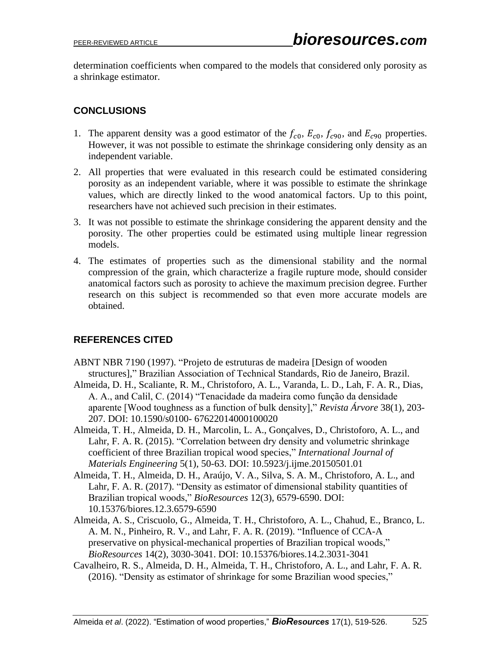determination coefficients when compared to the models that considered only porosity as a shrinkage estimator.

# **CONCLUSIONS**

- 1. The apparent density was a good estimator of the  $f_{c0}$ ,  $E_{c0}$ ,  $f_{c90}$ , and  $E_{c90}$  properties. However, it was not possible to estimate the shrinkage considering only density as an independent variable.
- 2. All properties that were evaluated in this research could be estimated considering porosity as an independent variable, where it was possible to estimate the shrinkage values, which are directly linked to the wood anatomical factors. Up to this point, researchers have not achieved such precision in their estimates.
- 3. It was not possible to estimate the shrinkage considering the apparent density and the porosity. The other properties could be estimated using multiple linear regression models.
- 4. The estimates of properties such as the dimensional stability and the normal compression of the grain, which characterize a fragile rupture mode, should consider anatomical factors such as porosity to achieve the maximum precision degree. Further research on this subject is recommended so that even more accurate models are obtained.

# **REFERENCES CITED**

- ABNT NBR 7190 (1997). "Projeto de estruturas de madeira [Design of wooden structures]," Brazilian Association of Technical Standards, Rio de Janeiro, Brazil.
- Almeida, D. H., Scaliante, R. M., Christoforo, A. L., Varanda, L. D., Lah, F. A. R., Dias, A. A., and Calil, C. (2014) "Tenacidade da madeira como função da densidade aparente [Wood toughness as a function of bulk density]," *Revista Árvore* 38(1), 203- 207. DOI: 10.1590/s0100- 67622014000100020
- Almeida, T. H., Almeida, D. H., Marcolin, L. A., Gonçalves, D., Christoforo, A. L., and Lahr, F. A. R. (2015). "Correlation between dry density and volumetric shrinkage coefficient of three Brazilian tropical wood species," *International Journal of Materials Engineering* 5(1), 50-63. DOI: 10.5923/j.ijme.20150501.01
- Almeida, T. H., Almeida, D. H., Araújo, V. A., Silva, S. A. M., Christoforo, A. L., and Lahr, F. A. R. (2017). "Density as estimator of dimensional stability quantities of Brazilian tropical woods," *BioResources* 12(3), 6579-6590. DOI: 10.15376/biores.12.3.6579-6590
- Almeida, A. S., Criscuolo, G., Almeida, T. H., Christoforo, A. L., Chahud, E., Branco, L. A. M. N., Pinheiro, R. V., and Lahr, F. A. R. (2019). "Influence of CCA-A preservative on physical-mechanical properties of Brazilian tropical woods," *BioResources* 14(2), 3030-3041. DOI: 10.15376/biores.14.2.3031-3041
- Cavalheiro, R. S., Almeida, D. H., Almeida, T. H., Christoforo, A. L., and Lahr, F. A. R. (2016). "Density as estimator of shrinkage for some Brazilian wood species,"